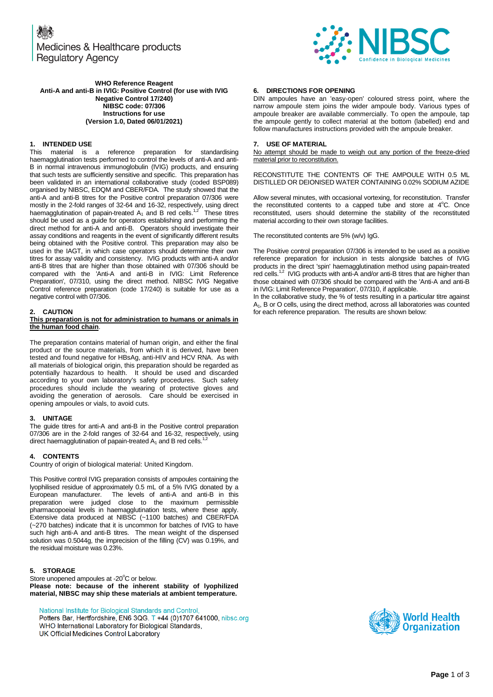Medicines & Healthcare products **Regulatory Agency** 



**WHO Reference Reagent Anti-A and anti-B in IVIG: Positive Control (for use with IVIG Negative Control 17/240) NIBSC code: 07/306 Instructions for use (Version 1.0, Dated 06/01/2021)**

# **1. INTENDED USE**

This material is a reference preparation for standardising haemagglutination tests performed to control the levels of anti-A and anti-B in normal intravenous immunoglobulin (IVIG) products, and ensuring that such tests are sufficiently sensitive and specific. This preparation has been validated in an international collaborative study (coded BSP089) organised by NIBSC, EDQM and CBER/FDA. The study showed that the anti-A and anti-B titres for the Positive control preparation 07/306 were mostly in the 2-fold ranges of 32-64 and 16-32, respectively, using direct haemagglutination of papain-treated A<sub>1</sub> and B red cells.<sup>1,2</sup> These titres should be used as a guide for operators establishing and performing the direct method for anti-A and anti-B. Operators should investigate their assay conditions and reagents in the event of significantly different results being obtained with the Positive control. This preparation may also be used in the IAGT, in which case operators should determine their own titres for assay validity and consistency. IVIG products with anti-A and/or anti-B titres that are higher than those obtained with 07/306 should be compared with the 'Anti-A and anti-B in IVIG: Limit Reference Preparation', 07/310, using the direct method. NIBSC IVIG Negative Control reference preparation (code 17/240) is suitable for use as a negative control with 07/306.

## **2. CAUTION**

#### **This preparation is not for administration to humans or animals in the human food chain**.

The preparation contains material of human origin, and either the final product or the source materials, from which it is derived, have been tested and found negative for HBsAg, anti-HIV and HCV RNA. As with all materials of biological origin, this preparation should be regarded as potentially hazardous to health. It should be used and discarded according to your own laboratory's safety procedures. Such safety procedures should include the wearing of protective gloves and avoiding the generation of aerosols. Care should be exercised in opening ampoules or vials, to avoid cuts.

# **3. UNITAGE**

The guide titres for anti-A and anti-B in the Positive control preparation 07/306 are in the 2-fold ranges of 32-64 and 16-32, respectively, using direct haemagglutination of papain-treated  $A_1$  and B red cells.

# **4. CONTENTS**

Country of origin of biological material: United Kingdom.

This Positive control IVIG preparation consists of ampoules containing the lyophilised residue of approximately 0.5 mL of a 5% IVIG donated by a European manufacturer. The levels of anti-A and anti-B in this preparation were judged close to the maximum permissible pharmacopoeial levels in haemagglutination tests, where these apply. Extensive data produced at NIBSC (~1100 batches) and CBER/FDA (~270 batches) indicate that it is uncommon for batches of IVIG to have such high anti-A and anti-B titres. The mean weight of the dispensed solution was 0.5044g, the imprecision of the filling (CV) was 0.19%, and the residual moisture was 0.23%.

# **5. STORAGE**

Store unopened ampoules at -20 $\mathrm{^{\circ}C}$  or below. **Please note: because of the inherent stability of lyophilized material, NIBSC may ship these materials at ambient temperature.**

National Institute for Biological Standards and Control, Potters Bar, Hertfordshire, EN6 3QG. T +44 (0)1707 641000, nibsc.org

WHO International Laboratory for Biological Standards, UK Official Medicines Control Laboratory

## **6. DIRECTIONS FOR OPENING**

DIN ampoules have an 'easy-open' coloured stress point, where the narrow ampoule stem joins the wider ampoule body. Various types of ampoule breaker are available commercially. To open the ampoule, tap the ampoule gently to collect material at the bottom (labelled) end and follow manufactures instructions provided with the ampoule breaker.

### **7. USE OF MATERIAL**

No attempt should be made to weigh out any portion of the freeze-dried material prior to reconstitution.

RECONSTITUTE THE CONTENTS OF THE AMPOULE WITH 0.5 ML DISTILLED OR DEIONISED WATER CONTAINING 0.02% SODIUM AZIDE

Allow several minutes, with occasional vortexing, for reconstitution. Transfer the reconstituted contents to a capped tube and store at  $4^{\circ}$ C. Once reconstituted, users should determine the stability of the reconstituted material according to their own storage facilities.

The reconstituted contents are 5% (w/v) IgG.

The Positive control preparation 07/306 is intended to be used as a positive reference preparation for inclusion in tests alongside batches of IVIG products in the direct 'spin' haemagglutination method using papain-treated red cells.<sup>1,2</sup> IVIG products with anti-A and/or anti-B titres that are higher than those obtained with 07/306 should be compared with the 'Anti-A and anti-B in IVIG: Limit Reference Preparation', 07/310, if applicable.

In the collaborative study, the % of tests resulting in a particular titre against A1, B or O cells, using the direct method, across all laboratories was counted for each reference preparation. The results are shown below:

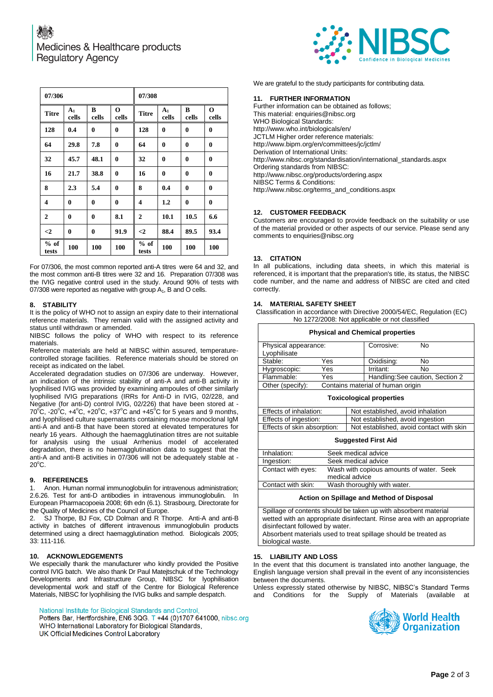

We are grateful to the study participants for contributing data.

## **11. FURTHER INFORMATION**

Further information can be obtained as follows; This material[: enquiries@nibsc.org](mailto:enquiries@nibsc.org) WHO Biological Standards: <http://www.who.int/biologicals/en/> JCTLM Higher order reference materials: <http://www.bipm.org/en/committees/jc/jctlm/> Derivation of International Units: [http://www.nibsc.org/standardisation/international\\_standards.aspx](http://www.nibsc.org/standardisation/international_standards.aspx) Ordering standards from NIBSC: <http://www.nibsc.org/products/ordering.aspx> NIBSC Terms & Conditions: [http://www.nibsc.org/terms\\_and\\_conditions.aspx](http://www.nibsc.ac.uk/terms_and_conditions.aspx)

## **12. CUSTOMER FEEDBACK**

Customers are encouraged to provide feedback on the suitability or use of the material provided or other aspects of our service. Please send any comments t[o enquiries@nibsc.org](mailto:enquiries@nibsc.org)

### **13. CITATION**

In all publications, including data sheets, in which this material is referenced, it is important that the preparation's title, its status, the NIBSC code number, and the name and address of NIBSC are cited and cited correctly.

#### **14. MATERIAL SAFETY SHEET**

Classification in accordance with Directive 2000/54/EC, Regulation (EC) No 1272/2008: Not applicable or not classified

**Physical and Chemical properties**

| Physical appearance: |                                   | Corrosive: | No                               |    |  |  |
|----------------------|-----------------------------------|------------|----------------------------------|----|--|--|
| Lyophilisate         |                                   |            |                                  |    |  |  |
| Stable:              | Yes                               |            | Oxidising:                       | No |  |  |
| Hygroscopic:         | Yes                               |            | Irritant:                        | No |  |  |
| Flammable:           | Yes                               |            | Handling: See caution, Section 2 |    |  |  |
| Other (specify):     | Contains material of human origin |            |                                  |    |  |  |

#### **Toxicological properties**

| Effects of inhalation:      | Not established, avoid inhalation        |  |  |  |
|-----------------------------|------------------------------------------|--|--|--|
| Effects of ingestion:       | Not established, avoid ingestion         |  |  |  |
| Effects of skin absorption: | Not established, avoid contact with skin |  |  |  |
|                             |                                          |  |  |  |

#### **Suggested First Aid**

| Inhalation:        | Seek medical advice                      |
|--------------------|------------------------------------------|
| Ingestion:         | Seek medical advice                      |
| Contact with eyes: | Wash with copious amounts of water. Seek |
|                    | medical advice                           |
| Contact with skin: | Wash thoroughly with water.              |
|                    |                                          |

## **Action on Spillage and Method of Disposal**

Spillage of contents should be taken up with absorbent material wetted with an appropriate disinfectant. Rinse area with an appropriate disinfectant followed by water. Absorbent materials used to treat spillage should be treated as biological waste.

**15. LIABILITY AND LOSS**

In the event that this document is translated into another language, the English language version shall prevail in the event of any inconsistencies between the documents.

Unless expressly stated otherwise by NIBSC, NIBSC's Standard Terms and Conditions for the Supply of Materials (available



| 07/306          |                         |            | 07/308               |                 |                         |            |                      |
|-----------------|-------------------------|------------|----------------------|-----------------|-------------------------|------------|----------------------|
| <b>Titre</b>    | A <sub>1</sub><br>cells | B<br>cells | $\mathbf 0$<br>cells | <b>Titre</b>    | A <sub>1</sub><br>cells | B<br>cells | $\mathbf 0$<br>cells |
| 128             | 0.4                     | $\bf{0}$   | $\bf{0}$             | 128             | $\bf{0}$                | $\bf{0}$   | $\bf{0}$             |
| 64              | 29.8                    | 7.8        | $\bf{0}$             | 64              | 0                       | $\bf{0}$   | $\bf{0}$             |
| 32              | 45.7                    | 48.1       | $\bf{0}$             | 32              | $\bf{0}$                | $\bf{0}$   | $\bf{0}$             |
| 16              | 21.7                    | 38.8       | $\bf{0}$             | 16              | $\bf{0}$                | $\bf{0}$   | $\bf{0}$             |
| 8               | 2.3                     | 5.4        | $\bf{0}$             | 8               | 0.4                     | $\bf{0}$   | $\bf{0}$             |
| 4               | $\bf{0}$                | $\bf{0}$   | $\bf{0}$             | 4               | $1.2\,$                 | $\bf{0}$   | $\bf{0}$             |
| $\overline{2}$  | $\bf{0}$                | $\bf{0}$   | 8.1                  | $\overline{2}$  | 10.1                    | 10.5       | 6.6                  |
| $\leq$          | $\bf{0}$                | $\bf{0}$   | 91.9                 | $\leq$ 2        | 88.4                    | 89.5       | 93.4                 |
| $%$ of<br>tests | 100                     | 100        | 100                  | $%$ of<br>tests | 100                     | 100        | 100                  |

For 07/306, the most common reported anti-A titres were 64 and 32, and the most common anti-B titres were 32 and 16. Preparation 07/308 was the IVIG negative control used in the study. Around 90% of tests with 07/308 were reported as negative with group  $A_1$ , B and O cells.

#### **8. STABILITY**

It is the policy of WHO not to assign an expiry date to their international reference materials. They remain valid with the assigned activity and status until withdrawn or amended.

NIBSC follows the policy of WHO with respect to its reference materials.

Reference materials are held at NIBSC within assured, temperaturecontrolled storage facilities. Reference materials should be stored on receipt as indicated on the label.

Accelerated degradation studies on 07/306 are underway. However, an indication of the intrinsic stability of anti-A and anti-B activity in lyophilised IVIG was provided by examining ampoules of other similarly lyophilised IVIG preparations (IRRs for Anti-D in IVIG, 02/228, and Negative (for anti-D) control IVIG, 02/226) that have been stored at - 70 $^{\circ}$ C, -20 $^{\circ}$ C, +4 $^{\circ}$ C, +20 $^{\circ}$ C, +37 $^{\circ}$ C and +45 $^{\circ}$ C for 5 years and 9 months, and lyophilised culture supernatants containing mouse monoclonal IgM anti-A and anti-B that have been stored at elevated temperatures for nearly 16 years. Although the haemagglutination titres are not suitable for analysis using the usual Arrhenius model of accelerated degradation, there is no haemagglutination data to suggest that the anti-A and anti-B activities in 07/306 will not be adequately stable at -  $20^{\circ}$ C.

## **9. REFERENCES**

1. Anon. Human normal immunoglobulin for intravenous administration; 2.6.26. Test for anti-D antibodies in intravenous immunoglobulin. In European Pharmacopoeia 2008; 6th edn (6.1). Strasbourg, Directorate for the Quality of Medicines of the Council of Europe.

2. SJ Thorpe, BJ Fox, CD Dolman and R Thorpe. Anti-A and anti-B activity in batches of different intravenous immunoglobulin products determined using a direct haemagglutination method. Biologicals 2005; 33: 111-116.

## **10. ACKNOWLEDGEMENTS**

We especially thank the manufacturer who kindly provided the Positive control IVIG batch. We also thank Dr Paul Matejtschuk of the Technology Developments and Infrastructure Group, NIBSC for lyophilisation developmental work and staff of the Centre for Biological Reference Materials, NIBSC for lyophilising the IVIG bulks and sample despatch.

National Institute for Biological Standards and Control

Potters Bar, Hertfordshire, EN6 3QG. T +44 (0)1707 641000, nibsc.org WHO International Laboratory for Biological Standards,

UK Official Medicines Control Laboratory